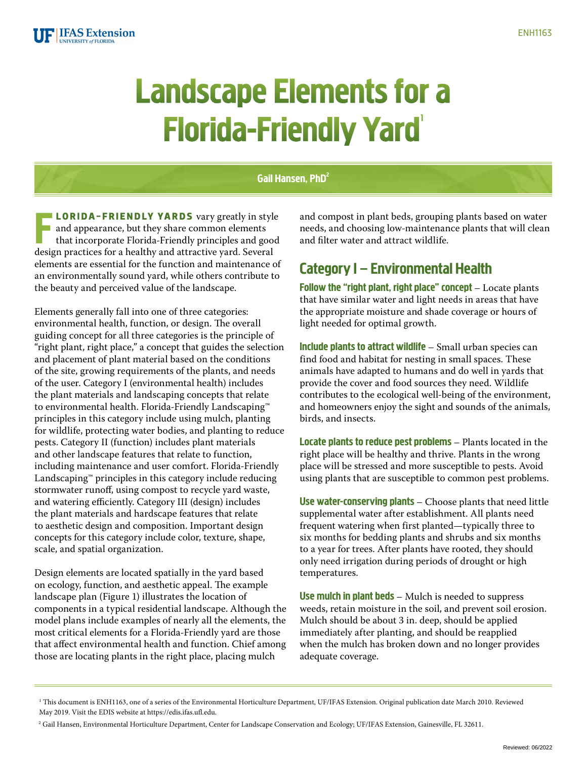

## **Landscape Elements for a Florida-Friendly Yard**

#### Gail Hansen, PhD<sup>2</sup>

**LORIDA-FRIENDLY YARDS** vary greatly in style and appearance, but they share common elements that incorporate Florida-Friendly principles and goodesign practices for a healthy and attractive yard. Several **LORIDA-FRIENDLY YARDS** vary greatly in style and appearance, but they share common elements that incorporate Florida-Friendly principles and good elements are essential for the function and maintenance of an environmentally sound yard, while others contribute to the beauty and perceived value of the landscape.

Elements generally fall into one of three categories: environmental health, function, or design. The overall guiding concept for all three categories is the principle of "right plant, right place," a concept that guides the selection and placement of plant material based on the conditions of the site, growing requirements of the plants, and needs of the user. Category I (environmental health) includes the plant materials and landscaping concepts that relate to environmental health. Florida-Friendly Landscaping™ principles in this category include using mulch, planting for wildlife, protecting water bodies, and planting to reduce pests. Category II (function) includes plant materials and other landscape features that relate to function, including maintenance and user comfort. Florida-Friendly Landscaping™ principles in this category include reducing stormwater runoff, using compost to recycle yard waste, and watering efficiently. Category III (design) includes the plant materials and hardscape features that relate to aesthetic design and composition. Important design concepts for this category include color, texture, shape, scale, and spatial organization.

Design elements are located spatially in the yard based on ecology, function, and aesthetic appeal. The example landscape plan (Figure 1) illustrates the location of components in a typical residential landscape. Although the model plans include examples of nearly all the elements, the most critical elements for a Florida-Friendly yard are those that affect environmental health and function. Chief among those are locating plants in the right place, placing mulch

and compost in plant beds, grouping plants based on water needs, and choosing low-maintenance plants that will clean and filter water and attract wildlife.

#### Category I – Environmental Health

Follow the "right plant, right place" concept – Locate plants that have similar water and light needs in areas that have the appropriate moisture and shade coverage or hours of light needed for optimal growth.

Include plants to attract wildlife – Small urban species can find food and habitat for nesting in small spaces. These animals have adapted to humans and do well in yards that provide the cover and food sources they need. Wildlife contributes to the ecological well-being of the environment, and homeowners enjoy the sight and sounds of the animals, birds, and insects.

Locate plants to reduce pest problems – Plants located in the right place will be healthy and thrive. Plants in the wrong place will be stressed and more susceptible to pests. Avoid using plants that are susceptible to common pest problems.

Use water-conserving plants – Choose plants that need little supplemental water after establishment. All plants need frequent watering when first planted—typically three to six months for bedding plants and shrubs and six months to a year for trees. After plants have rooted, they should only need irrigation during periods of drought or high temperatures.

Use mulch in plant beds - Mulch is needed to suppress weeds, retain moisture in the soil, and prevent soil erosion. Mulch should be about 3 in. deep, should be applied immediately after planting, and should be reapplied when the mulch has broken down and no longer provides adequate coverage.

<sup>1</sup> This document is ENH1163, one of a series of the Environmental Horticulture Department, UF/IFAS Extension. Original publication date March 2010. Reviewed May 2019. Visit the EDIS website at <https://edis.ifas.ufl.edu>.

<sup>&</sup>lt;sup>2</sup> Gail Hansen, Environmental Horticulture Department, Center for Landscape Conservation and Ecology; UF/IFAS Extension, Gainesville, FL 32611.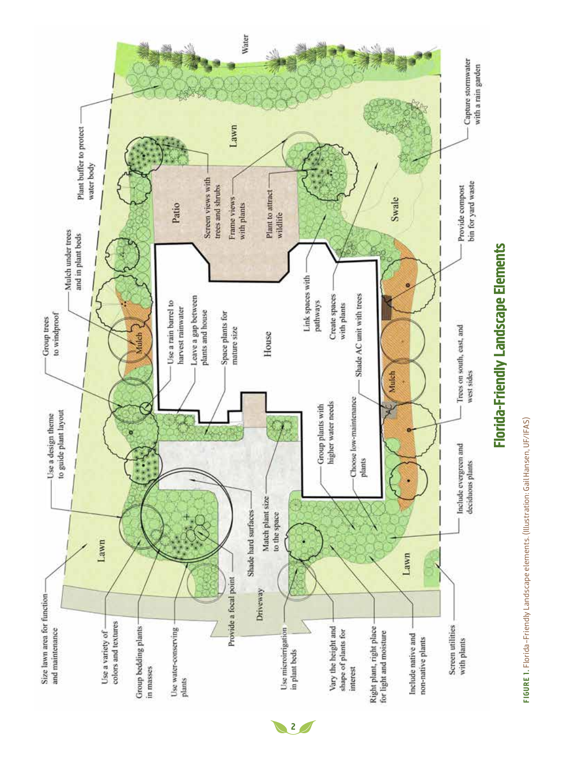

FIGURE 1. Florida-Friendly Landscape elements. (Illustration: Gail Hansen, UF/IFAS) Figur e 1. Florida-Friendly Landscape elements. (Illustration: Gail Hansen, UF/IFAS)

# Florida-Friendly Landscape Elements Florida-Friendly Landscape Elements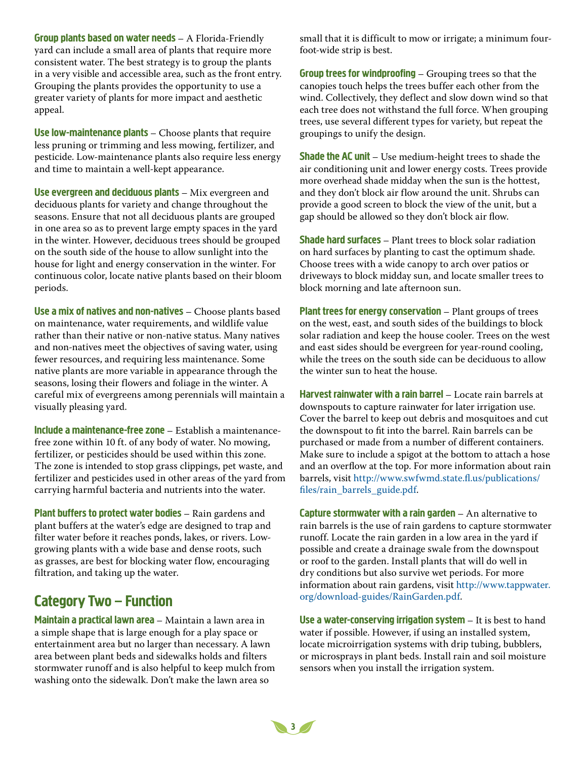Group plants based on water needs – A Florida-Friendly yard can include a small area of plants that require more consistent water. The best strategy is to group the plants in a very visible and accessible area, such as the front entry. Grouping the plants provides the opportunity to use a greater variety of plants for more impact and aesthetic appeal.

Use low-maintenance plants – Choose plants that require less pruning or trimming and less mowing, fertilizer, and pesticide. Low-maintenance plants also require less energy and time to maintain a well-kept appearance.

Use evergreen and deciduous plants - Mix evergreen and deciduous plants for variety and change throughout the seasons. Ensure that not all deciduous plants are grouped in one area so as to prevent large empty spaces in the yard in the winter. However, deciduous trees should be grouped on the south side of the house to allow sunlight into the house for light and energy conservation in the winter. For continuous color, locate native plants based on their bloom periods.

Use a mix of natives and non-natives – Choose plants based on maintenance, water requirements, and wildlife value rather than their native or non-native status. Many natives and non-natives meet the objectives of saving water, using fewer resources, and requiring less maintenance. Some native plants are more variable in appearance through the seasons, losing their flowers and foliage in the winter. A careful mix of evergreens among perennials will maintain a visually pleasing yard.

Include a maintenance-free zone – Establish a maintenancefree zone within 10 ft. of any body of water. No mowing, fertilizer, or pesticides should be used within this zone. The zone is intended to stop grass clippings, pet waste, and fertilizer and pesticides used in other areas of the yard from carrying harmful bacteria and nutrients into the water.

Plant buffers to protect water bodies – Rain gardens and plant buffers at the water's edge are designed to trap and filter water before it reaches ponds, lakes, or rivers. Lowgrowing plants with a wide base and dense roots, such as grasses, are best for blocking water flow, encouraging filtration, and taking up the water.

### Category Two – Function

Maintain a practical lawn area - Maintain a lawn area in a simple shape that is large enough for a play space or entertainment area but no larger than necessary. A lawn area between plant beds and sidewalks holds and filters stormwater runoff and is also helpful to keep mulch from washing onto the sidewalk. Don't make the lawn area so

small that it is difficult to mow or irrigate; a minimum fourfoot-wide strip is best.

Group trees for windproofing – Grouping trees so that the canopies touch helps the trees buffer each other from the wind. Collectively, they deflect and slow down wind so that each tree does not withstand the full force. When grouping trees, use several different types for variety, but repeat the groupings to unify the design.

**Shade the AC unit** – Use medium-height trees to shade the air conditioning unit and lower energy costs. Trees provide more overhead shade midday when the sun is the hottest, and they don't block air flow around the unit. Shrubs can provide a good screen to block the view of the unit, but a gap should be allowed so they don't block air flow.

Shade hard surfaces – Plant trees to block solar radiation on hard surfaces by planting to cast the optimum shade. Choose trees with a wide canopy to arch over patios or driveways to block midday sun, and locate smaller trees to block morning and late afternoon sun.

Plant trees for energy conservation – Plant groups of trees on the west, east, and south sides of the buildings to block solar radiation and keep the house cooler. Trees on the west and east sides should be evergreen for year-round cooling, while the trees on the south side can be deciduous to allow the winter sun to heat the house.

Harvest rainwater with a rain barrel – Locate rain barrels at downspouts to capture rainwater for later irrigation use. Cover the barrel to keep out debris and mosquitoes and cut the downspout to fit into the barrel. Rain barrels can be purchased or made from a number of different containers. Make sure to include a spigot at the bottom to attach a hose and an overflow at the top. For more information about rain barrels, visit http://www.swfwmd.state.fl.us/publications/ files/rain\_barrels\_guide.pdf.

**Capture stormwater with a rain garden**  $-$  An alternative to rain barrels is the use of rain gardens to capture stormwater runoff. Locate the rain garden in a low area in the yard if possible and create a drainage swale from the downspout or roof to the garden. Install plants that will do well in dry conditions but also survive wet periods. For more information about rain gardens, visit http://www.tappwater. org/download-guides/RainGarden.pdf.

Use a water-conserving irrigation system  $-$  It is best to hand water if possible. However, if using an installed system, locate microirrigation systems with drip tubing, bubblers, or microsprays in plant beds. Install rain and soil moisture sensors when you install the irrigation system.

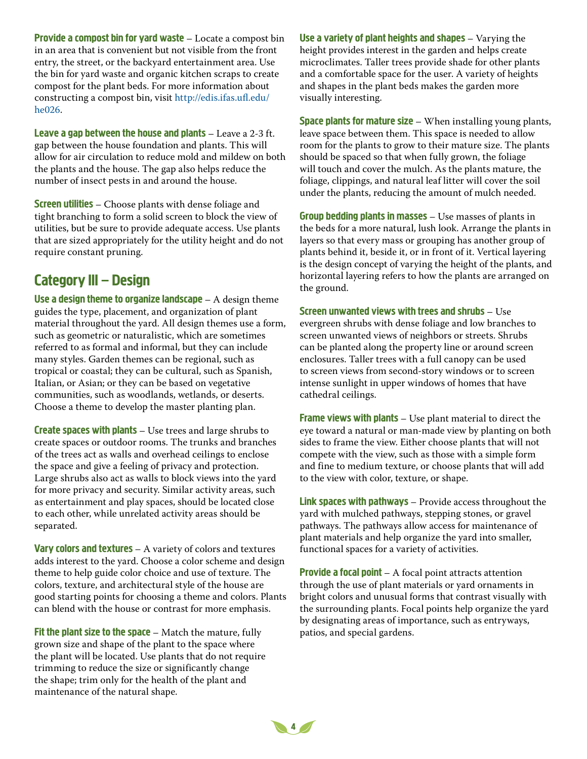Provide a compost bin for yard waste – Locate a compost bin in an area that is convenient but not visible from the front entry, the street, or the backyard entertainment area. Use the bin for yard waste and organic kitchen scraps to create compost for the plant beds. For more information about constructing a compost bin, visit http://edis.ifas.ufl.edu/ he026.

Leave a gap between the house and plants – Leave a 2-3 ft. gap between the house foundation and plants. This will allow for air circulation to reduce mold and mildew on both the plants and the house. The gap also helps reduce the number of insect pests in and around the house.

**Screen utilities** – Choose plants with dense foliage and tight branching to form a solid screen to block the view of utilities, but be sure to provide adequate access. Use plants that are sized appropriately for the utility height and do not require constant pruning.

#### Category III – Design

Use a design theme to organize landscape  $-$  A design theme guides the type, placement, and organization of plant material throughout the yard. All design themes use a form, such as geometric or naturalistic, which are sometimes referred to as formal and informal, but they can include many styles. Garden themes can be regional, such as tropical or coastal; they can be cultural, such as Spanish, Italian, or Asian; or they can be based on vegetative communities, such as woodlands, wetlands, or deserts. Choose a theme to develop the master planting plan.

**Create spaces with plants**  $-$  Use trees and large shrubs to create spaces or outdoor rooms. The trunks and branches of the trees act as walls and overhead ceilings to enclose the space and give a feeling of privacy and protection. Large shrubs also act as walls to block views into the yard for more privacy and security. Similar activity areas, such as entertainment and play spaces, should be located close to each other, while unrelated activity areas should be separated.

**Vary colors and textures**  $-$  A variety of colors and textures adds interest to the yard. Choose a color scheme and design theme to help guide color choice and use of texture. The colors, texture, and architectural style of the house are good starting points for choosing a theme and colors. Plants can blend with the house or contrast for more emphasis.

Fit the plant size to the space  $-$  Match the mature, fully grown size and shape of the plant to the space where the plant will be located. Use plants that do not require trimming to reduce the size or significantly change the shape; trim only for the health of the plant and maintenance of the natural shape.

Use a variety of plant heights and shapes – Varying the height provides interest in the garden and helps create microclimates. Taller trees provide shade for other plants and a comfortable space for the user. A variety of heights and shapes in the plant beds makes the garden more visually interesting.

**Space plants for mature size**  $-$  When installing young plants, leave space between them. This space is needed to allow room for the plants to grow to their mature size. The plants should be spaced so that when fully grown, the foliage will touch and cover the mulch. As the plants mature, the foliage, clippings, and natural leaf litter will cover the soil under the plants, reducing the amount of mulch needed.

Group bedding plants in masses – Use masses of plants in the beds for a more natural, lush look. Arrange the plants in layers so that every mass or grouping has another group of plants behind it, beside it, or in front of it. Vertical layering is the design concept of varying the height of the plants, and horizontal layering refers to how the plants are arranged on the ground.

Screen unwanted views with trees and shrubs – Use evergreen shrubs with dense foliage and low branches to screen unwanted views of neighbors or streets. Shrubs can be planted along the property line or around screen enclosures. Taller trees with a full canopy can be used to screen views from second-story windows or to screen intense sunlight in upper windows of homes that have cathedral ceilings.

Frame views with plants - Use plant material to direct the eye toward a natural or man-made view by planting on both sides to frame the view. Either choose plants that will not compete with the view, such as those with a simple form and fine to medium texture, or choose plants that will add to the view with color, texture, or shape.

Link spaces with pathways – Provide access throughout the yard with mulched pathways, stepping stones, or gravel pathways. The pathways allow access for maintenance of plant materials and help organize the yard into smaller, functional spaces for a variety of activities.

**Provide a focal point** – A focal point attracts attention through the use of plant materials or yard ornaments in bright colors and unusual forms that contrast visually with the surrounding plants. Focal points help organize the yard by designating areas of importance, such as entryways, patios, and special gardens.